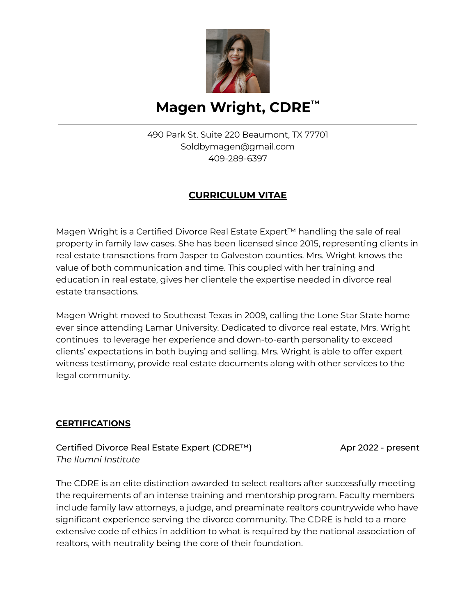

# **Magen Wright, CDRE ™**

490 Park St. Suite 220 Beaumont, TX 77701 Soldbymagen@gmail.com 409-289-6397

### **CURRICULUM VITAE**

Magen Wright is a Certified Divorce Real Estate Expert™ handling the sale of real property in family law cases. She has been licensed since 2015, representing clients in real estate transactions from Jasper to Galveston counties. Mrs. Wright knows the value of both communication and time. This coupled with her training and education in real estate, gives her clientele the expertise needed in divorce real estate transactions.

Magen Wright moved to Southeast Texas in 2009, calling the Lone Star State home ever since attending Lamar University. Dedicated to divorce real estate, Mrs. Wright continues to leverage her experience and down-to-earth personality to exceed clients' expectations in both buying and selling. Mrs. Wright is able to offer expert witness testimony, provide real estate documents along with other services to the legal community.

#### **CERTIFICATIONS**

Certified Divorce Real Estate Expert (CDRE™) Apr 2022 - present *The Ilumni Institute*

The CDRE is an elite distinction awarded to select realtors after successfully meeting the requirements of an intense training and mentorship program. Faculty members include family law attorneys, a judge, and preaminate realtors countrywide who have significant experience serving the divorce community. The CDRE is held to a more extensive code of ethics in addition to what is required by the national association of realtors, with neutrality being the core of their foundation.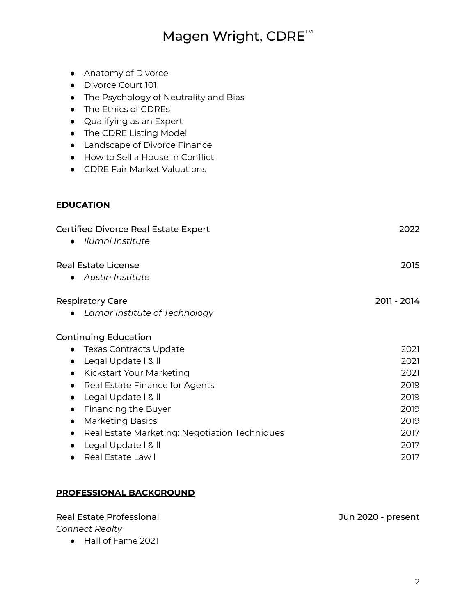## Magen Wright, CDRE<sup>™</sup>

- Anatomy of Divorce
- Divorce Court 101
- The Psychology of Neutrality and Bias
- The Ethics of CDREs
- Qualifying as an Expert
- The CDRE Listing Model
- Landscape of Divorce Finance
- How to Sell a House in Conflict
- CDRE Fair Market Valuations

### **EDUCATION**

| <b>Certified Divorce Real Estate Expert</b><br>Ilumni Institute<br>$\bullet$ | 2022        |
|------------------------------------------------------------------------------|-------------|
| <b>Real Estate License</b>                                                   | 2015        |
| <b>Austin Institute</b><br>$\bullet$                                         |             |
| <b>Respiratory Care</b>                                                      | 2011 - 2014 |
| • Lamar Institute of Technology                                              |             |
| <b>Continuing Education</b>                                                  |             |
| <b>Texas Contracts Update</b><br>$\bullet$                                   | 2021        |
| Legal Update   &   <br>$\bullet$                                             | 2021        |
| Kickstart Your Marketing<br>$\bullet$                                        | 2021        |
| Real Estate Finance for Agents<br>$\bullet$                                  | 2019        |
| Legal Update   &   <br>$\bullet$                                             | 2019        |
| Financing the Buyer<br>$\bullet$                                             | 2019        |
| <b>Marketing Basics</b><br>$\bullet$                                         | 2019        |
| Real Estate Marketing: Negotiation Techniques<br>$\bullet$                   | 2017        |
| Legal Update   &   <br>$\bullet$                                             | 2017        |
| Real Estate Law I                                                            | 2017        |

#### **PROFESSIONAL BACKGROUND**

#### Real Estate Professional and Tunnel and Tunnel and Tunnel 2020 - present

#### *Connect Realty*

● Hall of Fame 2021